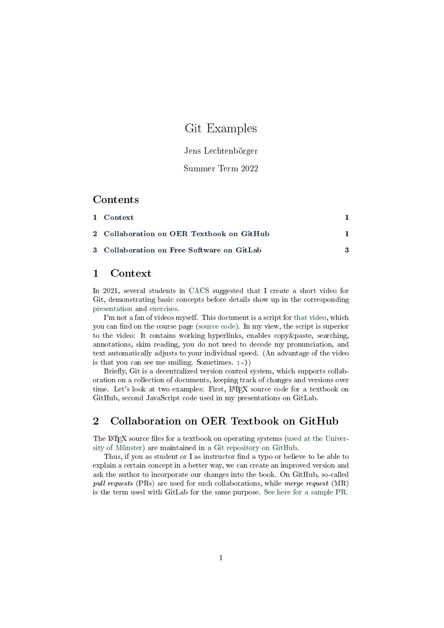# Git Examples

Jens Lechtenbörger

#### Summer Term 2022

#### Contents

| 1 Context                                  |  |
|--------------------------------------------|--|
| 2 Collaboration on OER Textbook on GitHub  |  |
| 3 Collaboration on Free Software on GitLab |  |

# <span id="page-0-0"></span>1 Context

In 2021, several students in [CACS](https://oer.gitlab.io/oer-courses/cacs/) suggested that I create a short video for Git, demonstrating basic concepts before details show up in the corresponding [presentation](https://oer.gitlab.io/oer-courses/cacs/Git-Introduction.html) and [exercises.](https://oer.gitlab.io/oer-courses/cacs/texts/Git-Workflow-Instructions.html)

I'm not a fan of videos myself. This document is a script for [that video,](https://oer.gitlab.io/oer-courses/cacs/videos/Git-Examples.mp4) which you can find on the course page [\(source code\)](https://gitlab.com/oer/cs/programming/-/blob/master/texts/Git-Examples.org). In my view, the script is superior to the video: It contains working hyperlinks, enables copy&paste, searching, annotations, skim reading, you do not need to decode my pronunciation, and text automatically adjusts to your individual speed. (An advantage of the video is that you can see me smiling. Sometimes. :-))

Briefly, Git is a decentralized version control system, which supports collaboration on a collection of documents, keeping track of changes and versions over time. Let's look at two examples: First, L<sup>A</sup>TEX source code for a textbook on GitHub, second JavaScript code used in my presentations on GitLab.

## <span id="page-0-1"></span>2 Collaboration on OER Textbook on GitHub

The LAT<sub>EX</sub> source files for a textbook on operating systems [\(used at the Univer](https://oer.gitlab.io/OS/)[sity of Münster\)](https://oer.gitlab.io/OS/) are maintained in a [Git repository on GitHub.](https://github.com/Max-Hailperin/Operating-Systems-and-Middleware--Supporting-Controlled-Interaction)

Thus, if you as student or I as instructor find a typo or believe to be able to explain a certain concept in a better way, we can create an improved version and ask the author to incorporate our changes into the book. On GitHub, so-called pull requests (PRs) are used for such collaborations, while merge request (MR) is the term used with GitLab for the same purpose. [See here for a sample PR.](https://github.com/Max-Hailperin/Operating-Systems-and-Middleware--Supporting-Controlled-Interaction/pull/120)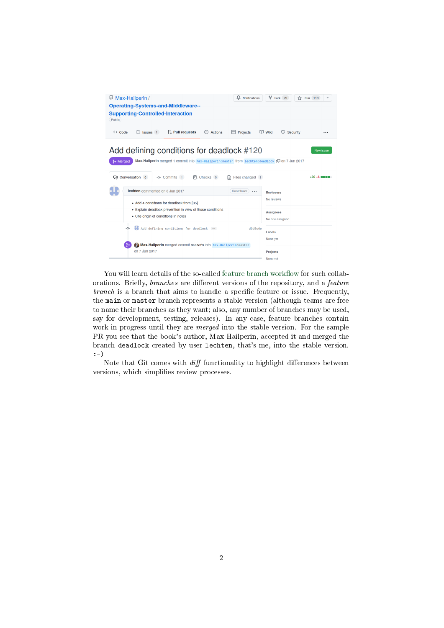

You will learn details of the so-called feature branch workflow for such collaborations. Briefly, *branches* are different versions of the repository, and a *feature*  $branch$  is a branch that aims to handle a specific feature or issue. Frequently, the main or master branch represents a stable version (although teams are free to name their branches as they want; also, any number of branches may be used, say for development, testing, releases). In any case, feature branches contain work-in-progress until they are merged into the stable version. For the sample PR you see that the book's author, Max Hailperin, accepted it and merged the branch deadlock created by user lechten, that's me, into the stable version. :-)

Note that Git comes with  $\mathit{diff}$  functionality to highlight differences between versions, which simplifies review processes.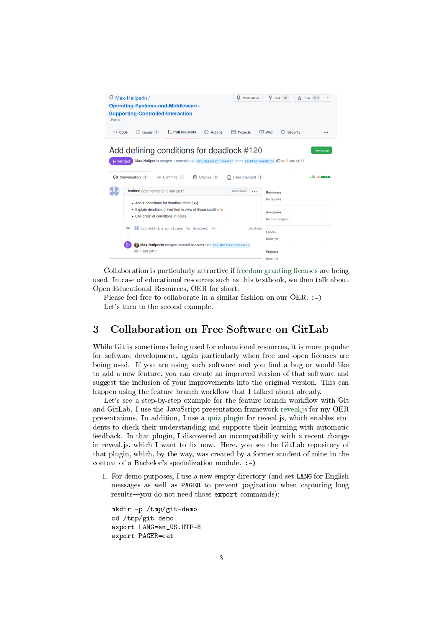

Collaboration is particularly attractive if [freedom granting licenses](https://oer.gitlab.io/OS/Operating-Systems-Motivation.html#slide-free-software) are being used. In case of educational resources such as this textbook, we then talk about Open Educational Resources, OER for short.

Please feel free to collaborate in a similar fashion on our OER. :-) Let's turn to the second example.

## <span id="page-2-0"></span>3 Collaboration on Free Software on GitLab

While Git is sometimes being used for educational resources, it is more popular for software development, again particularly when free and open licenses are being used. If you are using such software and you find a bug or would like to add a new feature, you can create an improved version of that software and suggest the inclusion of your improvements into the original version. This can happen using the feature branch workflow that I talked about already.

Let's see a step-by-step example for the feature branch workflow with Git and GitLab. I use the JavaScript presentation framework [reveal.js](https://revealjs.com/) for my OER presentations. In addition, I use a [quiz plugin](https://gitlab.com/schaepermeier/reveal.js-quiz) for reveal.js, which enables students to check their understanding and supports their learning with automatic feedback. In that plugin, I discovered an incompatibility with a recent change in reveal.js, which I want to fix now. Here, you see the GitLab repository of that plugin, which, by the way, was created by a former student of mine in the context of a Bachelor's specialization module. :-)

1. For demo purposes, I use a new empty directory (and set LANG for English messages as well as PAGER to prevent pagination when capturing long results-you do not need those export commands):

mkdir -p /tmp/git-demo cd /tmp/git-demo export LANG=en\_US.UTF-8 export PAGER=cat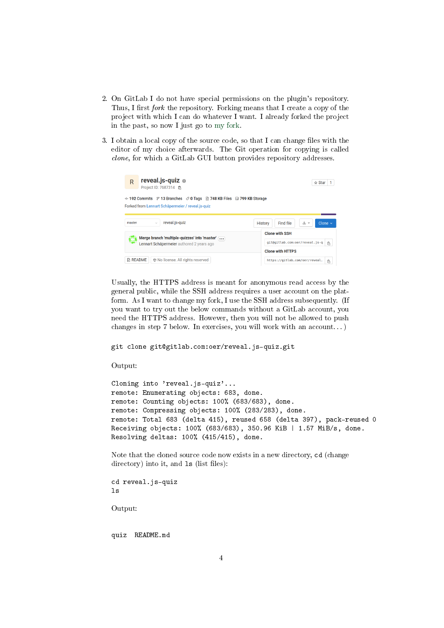- 2. On GitLab I do not have special permissions on the plugin's repository. Thus, I first *fork* the repository. Forking means that I create a copy of the project with which I can do whatever I want. I already forked the project in the past, so now I just go to [my fork.](https://gitlab.com/oer/reveal.js-quiz)
- 3. I obtain a local copy of the source code, so that I can change files with the editor of my choice afterwards. The Git operation for copying is called clone, for which a GitLab GUI button provides repository addresses.

| reveal.js-quiz $\oplus$<br>R<br>Project ID: 7687314 (A                                                                                                              |                                     | ☆ Star<br>1                         |  |  |
|---------------------------------------------------------------------------------------------------------------------------------------------------------------------|-------------------------------------|-------------------------------------|--|--|
| → 192 Commits $\mathcal{C}$ 13 Branches $\oslash$ 0 Tags<br>$\boxtimes$ 748 KB Files $\boxplus$ 799 KB Storage<br>Forked from Lennart Schäpermeier / reveal.js-quiz |                                     |                                     |  |  |
| reveal.js-quiz<br>山丶<br>Clone $\sim$<br>master<br>Find file<br><b>History</b><br>$\sim$                                                                             |                                     |                                     |  |  |
|                                                                                                                                                                     |                                     | <b>Clone with SSH</b>               |  |  |
| Merge branch 'multiple-quizzes' into 'master'<br>Lennart Schäpermeier authored 2 years ago                                                                          | git@gitlab.com:oer/reveal.js-q<br>隐 |                                     |  |  |
|                                                                                                                                                                     |                                     |                                     |  |  |
| 邨 No license. All rights reserved<br><b>A README</b>                                                                                                                |                                     | https://gitlab.com/oer/reveal.<br>隐 |  |  |

Usually, the HTTPS address is meant for anonymous read access by the general public, while the SSH address requires a user account on the platform. As I want to change my fork, I use the SSH address subsequently. (If you want to try out the below commands without a GitLab account, you need the HTTPS address. However, then you will not be allowed to push changes in step 7 below. In exercises, you will work with an account. . . )

git clone git@gitlab.com:oer/reveal.js-quiz.git

Output:

Cloning into 'reveal.js-quiz'... remote: Enumerating objects: 683, done. remote: Counting objects: 100% (683/683), done. remote: Compressing objects: 100% (283/283), done. remote: Total 683 (delta 415), reused 658 (delta 397), pack-reused 0 Receiving objects: 100% (683/683), 350.96 KiB | 1.57 MiB/s, done. Resolving deltas: 100% (415/415), done.

Note that the cloned source code now exists in a new directory, cd (change directory) into it, and  $ls$  (list files):

cd reveal.js-quiz ls

Output:

quiz README.md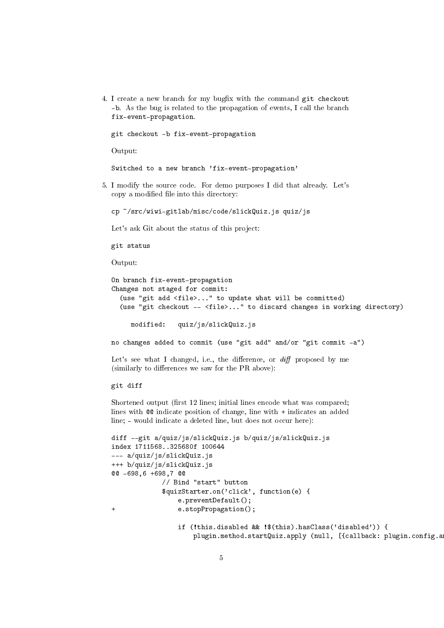4. I create a new branch for my bugfix with the command git checkout -b. As the bug is related to the propagation of events, I call the branch fix-event-propagation.

git checkout -b fix-event-propagation

Output:

Switched to a new branch 'fix-event-propagation'

5. I modify the source code. For demo purposes I did that already. Let's copy a modified file into this directory:

cp ~/src/wiwi-gitlab/misc/code/slickQuiz.js quiz/js

Let's ask Git about the status of this project:

git status

Output:

```
On branch fix-event-propagation
Changes not staged for commit:
  (use "git add <file>..." to update what will be committed)
  (use "git checkout -- <file>..." to discard changes in working directory)
```
modified: quiz/js/slickQuiz.js

no changes added to commit (use "git add" and/or "git commit -a")

Let's see what I changed, i.e., the difference, or  $diff$  proposed by me  $(\text{similarly to differences we saw for the PR above})$ :

git diff

Shortened output (first 12 lines; initial lines encode what was compared; lines with @@ indicate position of change, line with + indicates an added line; - would indicate a deleted line, but does not occur here):

```
diff --git a/quiz/js/slickQuiz.js b/quiz/js/slickQuiz.js
index 1711568..325680f 100644
--- a/quiz/js/slickQuiz.js
+++ b/quiz/js/slickQuiz.js
@@ -698,6 +698,7 @@
            // Bind "start" button
            $quizStarter.on('click', function(e) {
                e.preventDefault();
+ e.stopPropagation();
                if (!this.disabled && !$(this).hasClass('disabled')) {
                    plugin.method.startQuiz.apply (null, [{callback: plugin.config.a
```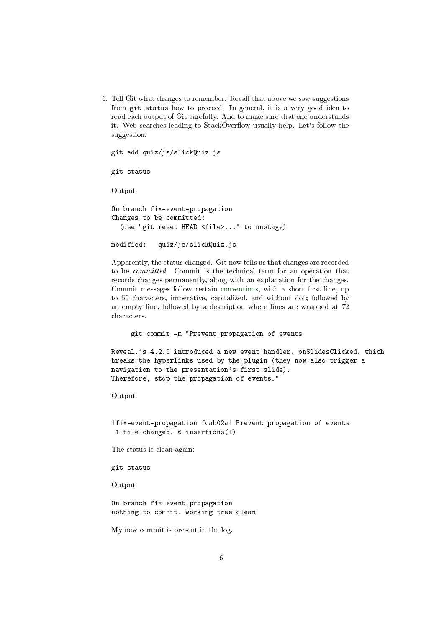6. Tell Git what changes to remember. Recall that above we saw suggestions from git status how to proceed. In general, it is a very good idea to read each output of Git carefully. And to make sure that one understands it. Web searches leading to StackOverflow usually help. Let's follow the suggestion:

```
git add quiz/js/slickQuiz.js
```

```
git status
```
Output:

```
On branch fix-event-propagation
Changes to be committed:
  (use "git reset HEAD <file>..." to unstage)
```

```
modified: quiz/js/slickQuiz.js
```
Apparently, the status changed. Git now tells us that changes are recorded to be committed. Commit is the technical term for an operation that records changes permanently, along with an explanation for the changes. Commit messages follow certain [conventions,](https://cbea.ms/git-commit/) with a short first line, up to 50 characters, imperative, capitalized, and without dot; followed by an empty line; followed by a description where lines are wrapped at 72 characters.

git commit -m "Prevent propagation of events

Reveal.js 4.2.0 introduced a new event handler, onSlidesClicked, which breaks the hyperlinks used by the plugin (they now also trigger a navigation to the presentation's first slide). Therefore, stop the propagation of events."

Output:

[fix-event-propagation fcab02a] Prevent propagation of events 1 file changed, 6 insertions(+)

The status is clean again:

git status

Output:

On branch fix-event-propagation nothing to commit, working tree clean

My new commit is present in the log.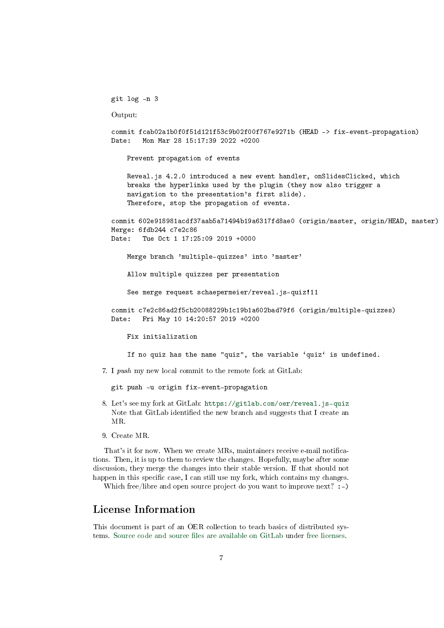git log -n 3

Output:

commit fcab02a1b0f0f51d121f53c9b02f00f767e9271b (HEAD -> fix-event-propagation) Date: Mon Mar 28 15:17:39 2022 +0200

Prevent propagation of events

Reveal.js 4.2.0 introduced a new event handler, onSlidesClicked, which breaks the hyperlinks used by the plugin (they now also trigger a navigation to the presentation's first slide). Therefore, stop the propagation of events.

commit 602e918981acdf37aab5a71494b19a6317fd8ae0 (origin/master, origin/HEAD, master) Merge: 6fdb244 c7e2c86 Date: Tue Oct 1 17:25:09 2019 +0000

Merge branch 'multiple-quizzes' into 'master'

Allow multiple quizzes per presentation

See merge request schaepermeier/reveal.js-quiz!11

commit c7e2c86ad2f5cb20088229b1c19b1a602bad79f6 (origin/multiple-quizzes) Date: Fri May 10 14:20:57 2019 +0200

Fix initialization

If no quiz has the name "quiz", the variable 'quiz' is undefined.

7. I push my new local commit to the remote fork at GitLab:

git push -u origin fix-event-propagation

- 8. Let's see my fork at GitLab: <https://gitlab.com/oer/reveal.js-quiz> Note that GitLab identified the new branch and suggests that I create an MR.
- 9. Create MR.

That's it for now. When we create MRs, maintainers receive e-mail notifications. Then, it is up to them to review the changes. Hopefully, maybe after some discussion, they merge the changes into their stable version. If that should not happen in this specific case, I can still use my fork, which contains my changes.

Which free/libre and open source project do you want to improve next? :-)

## License Information

This document is part of an OER collection to teach basics of distributed systems. Source code and source files are available on GitLab under [free licenses.](https://en.wikipedia.org/wiki/Free_license)